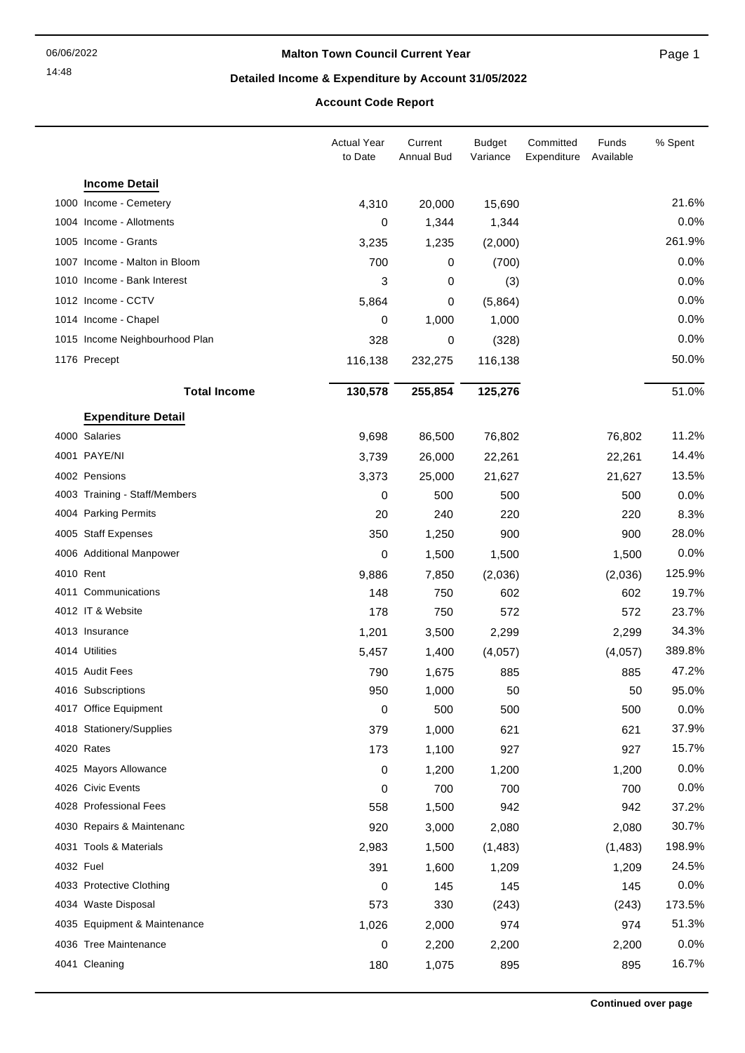14:48

#### **Malton Town Council Current Year**

Page 1

## **Detailed Income & Expenditure by Account 31/05/2022**

## **Account Code Report**

|           |                                | <b>Actual Year</b><br>to Date | Current<br><b>Annual Bud</b> | <b>Budget</b><br>Variance | Committed<br>Expenditure | Funds<br>Available | % Spent |
|-----------|--------------------------------|-------------------------------|------------------------------|---------------------------|--------------------------|--------------------|---------|
|           | <b>Income Detail</b>           |                               |                              |                           |                          |                    |         |
|           | 1000 Income - Cemetery         | 4,310                         | 20,000                       | 15,690                    |                          |                    | 21.6%   |
|           | 1004 Income - Allotments       | 0                             | 1,344                        | 1,344                     |                          |                    | 0.0%    |
|           | 1005 Income - Grants           | 3,235                         | 1,235                        | (2,000)                   |                          |                    | 261.9%  |
|           | 1007 Income - Malton in Bloom  | 700                           | 0                            | (700)                     |                          |                    | 0.0%    |
|           | 1010 Income - Bank Interest    | 3                             | 0                            | (3)                       |                          |                    | 0.0%    |
|           | 1012 Income - CCTV             | 5,864                         | 0                            | (5,864)                   |                          |                    | 0.0%    |
|           | 1014 Income - Chapel           | 0                             | 1,000                        | 1,000                     |                          |                    | 0.0%    |
|           | 1015 Income Neighbourhood Plan | 328                           | 0                            | (328)                     |                          |                    | 0.0%    |
|           | 1176 Precept                   | 116,138                       | 232,275                      | 116,138                   |                          |                    | 50.0%   |
|           | <b>Total Income</b>            | 130,578                       | 255,854                      | 125,276                   |                          |                    | 51.0%   |
|           | <b>Expenditure Detail</b>      |                               |                              |                           |                          |                    |         |
|           | 4000 Salaries                  | 9,698                         | 86,500                       | 76,802                    |                          | 76,802             | 11.2%   |
|           | 4001 PAYE/NI                   | 3,739                         | 26,000                       | 22,261                    |                          | 22,261             | 14.4%   |
|           | 4002 Pensions                  | 3,373                         | 25,000                       | 21,627                    |                          | 21,627             | 13.5%   |
|           | 4003 Training - Staff/Members  | 0                             | 500                          | 500                       |                          | 500                | 0.0%    |
|           | 4004 Parking Permits           | 20                            | 240                          | 220                       |                          | 220                | 8.3%    |
|           | 4005 Staff Expenses            | 350                           | 1,250                        | 900                       |                          | 900                | 28.0%   |
|           | 4006 Additional Manpower       | 0                             | 1,500                        | 1,500                     |                          | 1,500              | 0.0%    |
| 4010 Rent |                                | 9,886                         | 7,850                        | (2,036)                   |                          | (2,036)            | 125.9%  |
|           | 4011 Communications            | 148                           | 750                          | 602                       |                          | 602                | 19.7%   |
|           | 4012 IT & Website              | 178                           | 750                          | 572                       |                          | 572                | 23.7%   |
|           | 4013 Insurance                 | 1,201                         | 3,500                        | 2,299                     |                          | 2,299              | 34.3%   |
|           | 4014 Utilities                 | 5,457                         | 1,400                        | (4,057)                   |                          | (4,057)            | 389.8%  |
|           | 4015 Audit Fees                | 790                           | 1,675                        | 885                       |                          | 885                | 47.2%   |
|           | 4016 Subscriptions             | 950                           | 1,000                        | 50                        |                          | 50                 | 95.0%   |
|           | 4017 Office Equipment          | $\pmb{0}$                     | 500                          | 500                       |                          | 500                | 0.0%    |
|           | 4018 Stationery/Supplies       | 379                           | 1,000                        | 621                       |                          | 621                | 37.9%   |
|           | 4020 Rates                     | 173                           | 1,100                        | 927                       |                          | 927                | 15.7%   |
|           | 4025 Mayors Allowance          | 0                             | 1,200                        | 1,200                     |                          | 1,200              | 0.0%    |
|           | 4026 Civic Events              | 0                             | 700                          | 700                       |                          | 700                | 0.0%    |
|           | 4028 Professional Fees         | 558                           | 1,500                        | 942                       |                          | 942                | 37.2%   |
|           | 4030 Repairs & Maintenanc      | 920                           | 3,000                        | 2,080                     |                          | 2,080              | 30.7%   |
|           | 4031 Tools & Materials         | 2,983                         | 1,500                        | (1,483)                   |                          | (1, 483)           | 198.9%  |
| 4032 Fuel |                                | 391                           | 1,600                        | 1,209                     |                          | 1,209              | 24.5%   |
|           | 4033 Protective Clothing       | 0                             | 145                          | 145                       |                          | 145                | 0.0%    |
|           | 4034 Waste Disposal            | 573                           | 330                          | (243)                     |                          | (243)              | 173.5%  |
|           | 4035 Equipment & Maintenance   | 1,026                         | 2,000                        | 974                       |                          | 974                | 51.3%   |
|           | 4036 Tree Maintenance          | 0                             | 2,200                        | 2,200                     |                          | 2,200              | 0.0%    |
|           | 4041 Cleaning                  | 180                           | 1,075                        | 895                       |                          | 895                | 16.7%   |